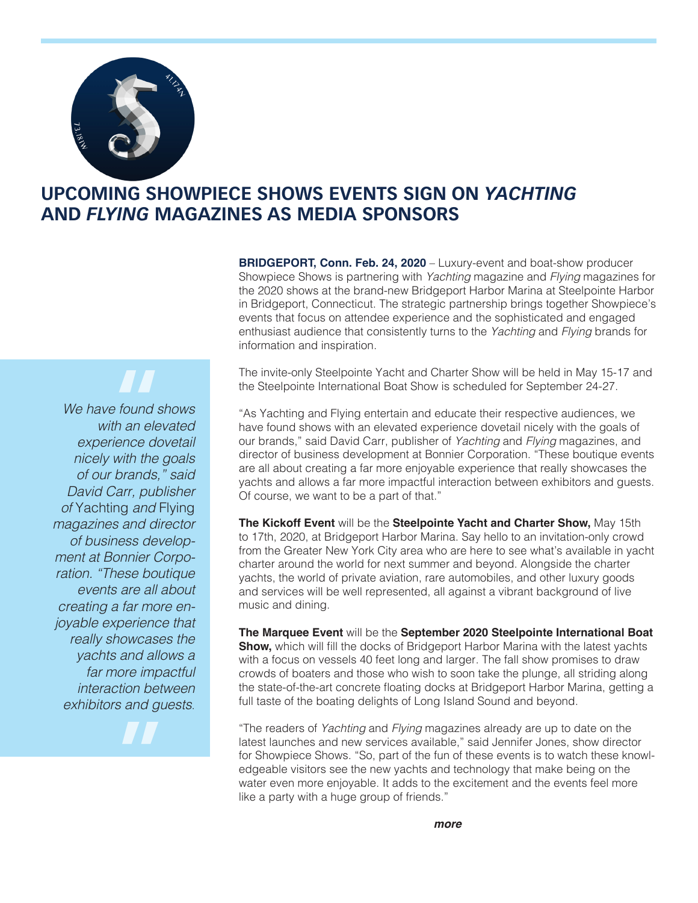

## **UPCOMING SHOWPIECE SHOWS EVENTS SIGN ON** *YACHTING* **AND** *FLYING* **MAGAZINES AS MEDIA SPONSORS**

**BRIDGEPORT, Conn. Feb. 24, 2020** – Luxury-event and boat-show producer Showpiece Shows is partnering with *Yachting* magazine and *Flying* magazines for the 2020 shows at the brand-new Bridgeport Harbor Marina at Steelpointe Harbor in Bridgeport, Connecticut. The strategic partnership brings together Showpiece's events that focus on attendee experience and the sophisticated and engaged enthusiast audience that consistently turns to the *Yachting* and *Flying* brands for information and inspiration.

The invite-only Steelpointe Yacht and Charter Show will be held in May 15-17 and the Steelpointe International Boat Show is scheduled for September 24-27.

"As Yachting and Flying entertain and educate their respective audiences, we have found shows with an elevated experience dovetail nicely with the goals of our brands," said David Carr, publisher of *Yachting* and *Flying* magazines, and director of business development at Bonnier Corporation. "These boutique events are all about creating a far more enjoyable experience that really showcases the yachts and allows a far more impactful interaction between exhibitors and guests. Of course, we want to be a part of that."

**The Kickoff Event** will be the **Steelpointe Yacht and Charter Show,** May 15th to 17th, 2020, at Bridgeport Harbor Marina. Say hello to an invitation-only crowd from the Greater New York City area who are here to see what's available in yacht charter around the world for next summer and beyond. Alongside the charter yachts, the world of private aviation, rare automobiles, and other luxury goods and services will be well represented, all against a vibrant background of live music and dining.

**The Marquee Event** will be the **September 2020 Steelpointe International Boat Show,** which will fill the docks of Bridgeport Harbor Marina with the latest yachts with a focus on vessels 40 feet long and larger. The fall show promises to draw crowds of boaters and those who wish to soon take the plunge, all striding along the state-of-the-art concrete floating docks at Bridgeport Harbor Marina, getting a full taste of the boating delights of Long Island Sound and beyond.

"The readers of *Yachting* and *Flying* magazines already are up to date on the latest launches and new services available," said Jennifer Jones, show director for Showpiece Shows. "So, part of the fun of these events is to watch these knowledgeable visitors see the new yachts and technology that make being on the water even more enjoyable. It adds to the excitement and the events feel more like a party with a huge group of friends."

*We have found shows with an elevated experience dovetail nicely with the goals of our brands," said David Carr, publisher of* Yachting *and* Flying *magazines and director of business development at Bonnier Corporation. "These boutique events are all about creating a far more enjoyable experience that really showcases the yachts and allows a far more impactful interaction between exhibitors and guests*. **"**<br>"<br>"<br>"<br>" " "<br>" " "

**"**